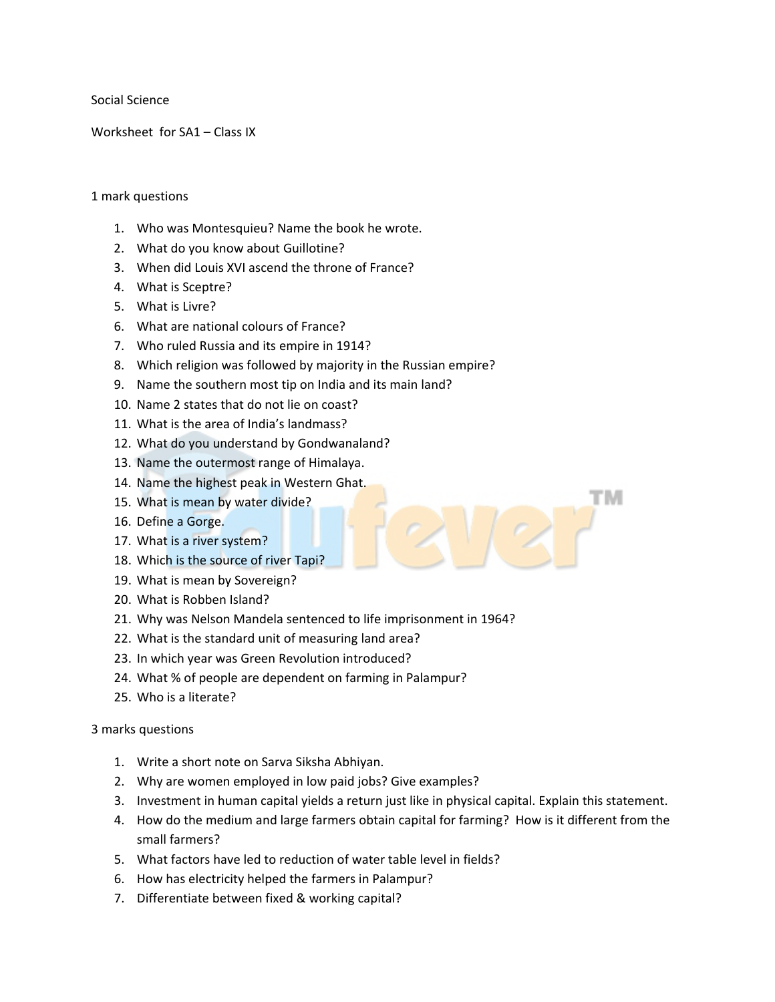Social Science

Worksheet for SA1 – Class IX

## 1 mark questions

- 1. Who was Montesquieu? Name the book he wrote.
- 2. What do you know about Guillotine?
- 3. When did Louis XVI ascend the throne of France?
- 4. What is Sceptre?
- 5. What is Livre?
- 6. What are national colours of France?
- 7. Who ruled Russia and its empire in 1914?
- 8. Which religion was followed by majority in the Russian empire?
- 9. Name the southern most tip on India and its main land?
- 10. Name 2 states that do not lie on coast?
- 11. What is the area of India's landmass?
- 12. What do you understand by Gondwanaland?
- 13. Name the outermost range of Himalaya.
- 14. Name the highest peak in Western Ghat.
- 15. What is mean by water divide?
- 16. Define a Gorge.
- 17. What is a river system?
- 18. Which is the source of river Tapi?
- 19. What is mean by Sovereign?
- 20. What is Robben Island?
- 21. Why was Nelson Mandela sentenced to life imprisonment in 1964?
- 22. What is the standard unit of measuring land area?
- 23. In which year was Green Revolution introduced?
- 24. What % of people are dependent on farming in Palampur?
- 25. Who is a literate?

## 3 marks questions

- 1. Write a short note on Sarva Siksha Abhiyan.
- 2. Why are women employed in low paid jobs? Give examples?
- 3. Investment in human capital yields a return just like in physical capital. Explain this statement.

тм

- 4. How do the medium and large farmers obtain capital for farming? How is it different from the small farmers?
- 5. What factors have led to reduction of water table level in fields?
- 6. How has electricity helped the farmers in Palampur?
- 7. Differentiate between fixed & working capital?